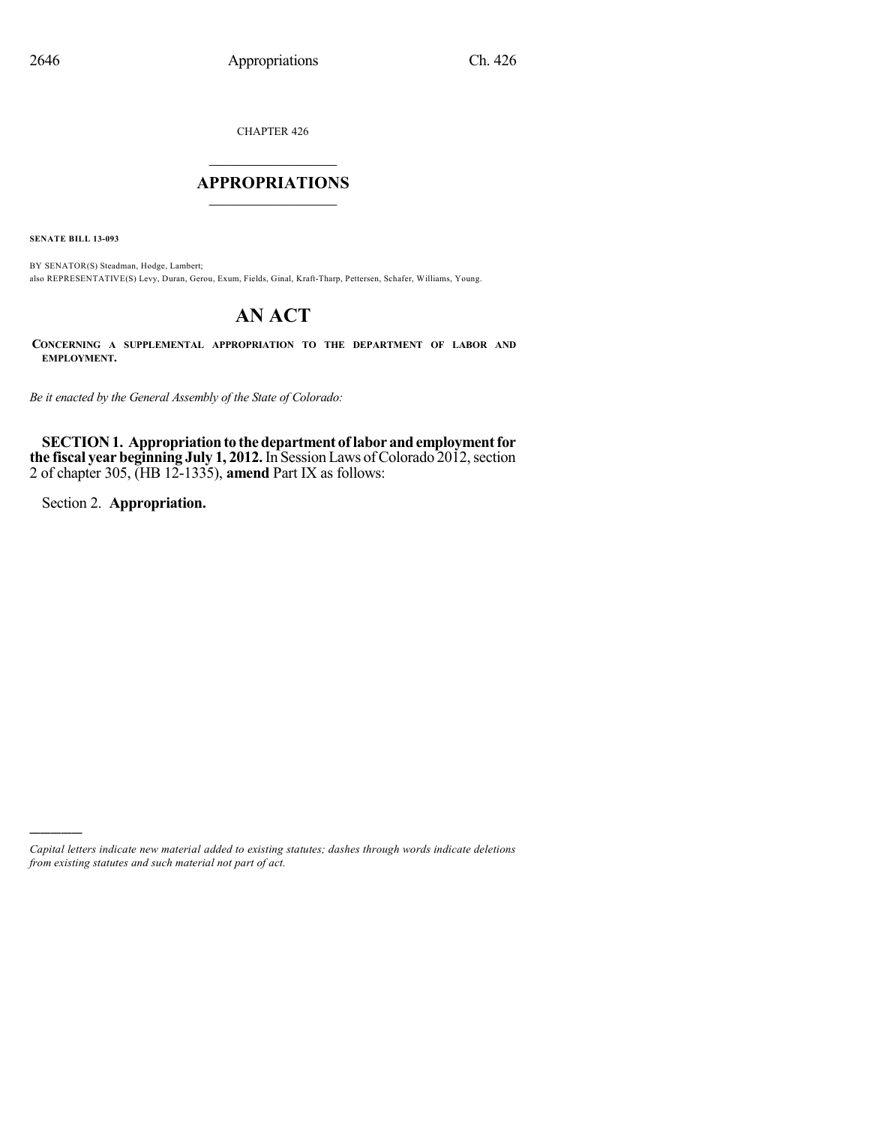CHAPTER 426

## $\mathcal{L}_\text{max}$  . The set of the set of the set of the set of the set of the set of the set of the set of the set of the set of the set of the set of the set of the set of the set of the set of the set of the set of the set **APPROPRIATIONS**  $\_$   $\_$   $\_$   $\_$   $\_$   $\_$   $\_$   $\_$

**SENATE BILL 13-093**

BY SENATOR(S) Steadman, Hodge, Lambert; also REPRESENTATIVE(S) Levy, Duran, Gerou, Exum, Fields, Ginal, Kraft-Tharp, Pettersen, Schafer, Williams, Young.

# **AN ACT**

**CONCERNING A SUPPLEMENTAL APPROPRIATION TO THE DEPARTMENT OF LABOR AND EMPLOYMENT.**

*Be it enacted by the General Assembly of the State of Colorado:*

**SECTION 1. Appropriation to the department of labor and employment for the fiscal year beginning July 1, 2012.** In Session Laws of Colorado 2012, section 2 of chapter 305, (HB 12-1335), **amend** Part IX as follows:

Section 2. **Appropriation.**

)))))

*Capital letters indicate new material added to existing statutes; dashes through words indicate deletions from existing statutes and such material not part of act.*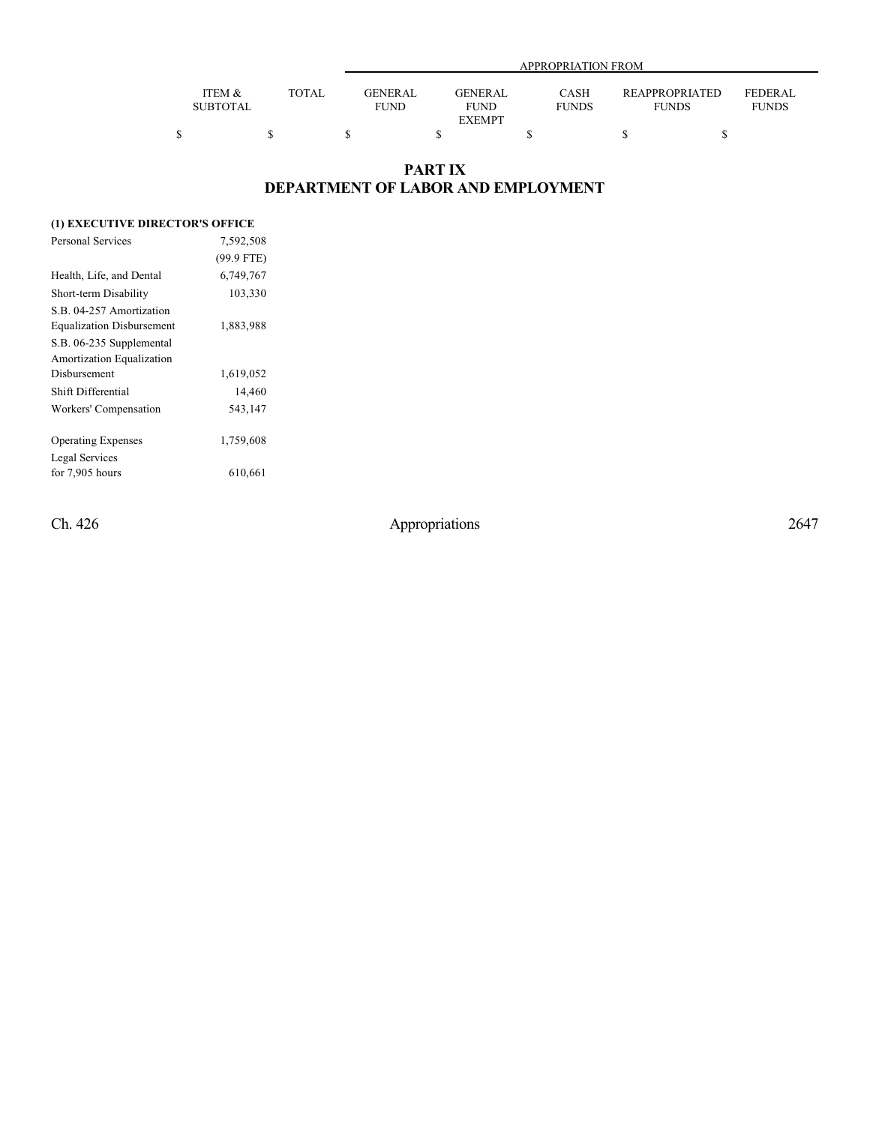|                 |       |             | APPROPRIATION FROM |              |                       |              |  |  |  |
|-----------------|-------|-------------|--------------------|--------------|-----------------------|--------------|--|--|--|
|                 |       |             |                    |              |                       |              |  |  |  |
| ITEM &          | TOTAL | GENERAL     | <b>GENERAL</b>     | CASH         | <b>REAPPROPRIATED</b> | FEDERAL      |  |  |  |
| <b>SUBTOTAL</b> |       | <b>FUND</b> | <b>FUND</b>        | <b>FUNDS</b> | <b>FUNDS</b>          | <b>FUNDS</b> |  |  |  |
|                 |       |             | <b>EXEMPT</b>      |              |                       |              |  |  |  |
|                 |       |             |                    |              |                       |              |  |  |  |

### **PART IX DEPARTMENT OF LABOR AND EMPLOYMENT**

### **(1) EXECUTIVE DIRECTOR'S OFFICE**

| <b>Personal Services</b>         | 7,592,508    |
|----------------------------------|--------------|
|                                  | $(99.9$ FTE) |
| Health, Life, and Dental         | 6,749,767    |
| Short-term Disability            | 103,330      |
| S.B. 04-257 Amortization         |              |
| <b>Equalization Disbursement</b> | 1,883,988    |
| S.B. 06-235 Supplemental         |              |
| Amortization Equalization        |              |
| Disbursement                     | 1,619,052    |
| Shift Differential               | 14,460       |
| Workers' Compensation            | 543,147      |
| <b>Operating Expenses</b>        | 1,759,608    |
| Legal Services                   |              |
| for $7,905$ hours                | 610,661      |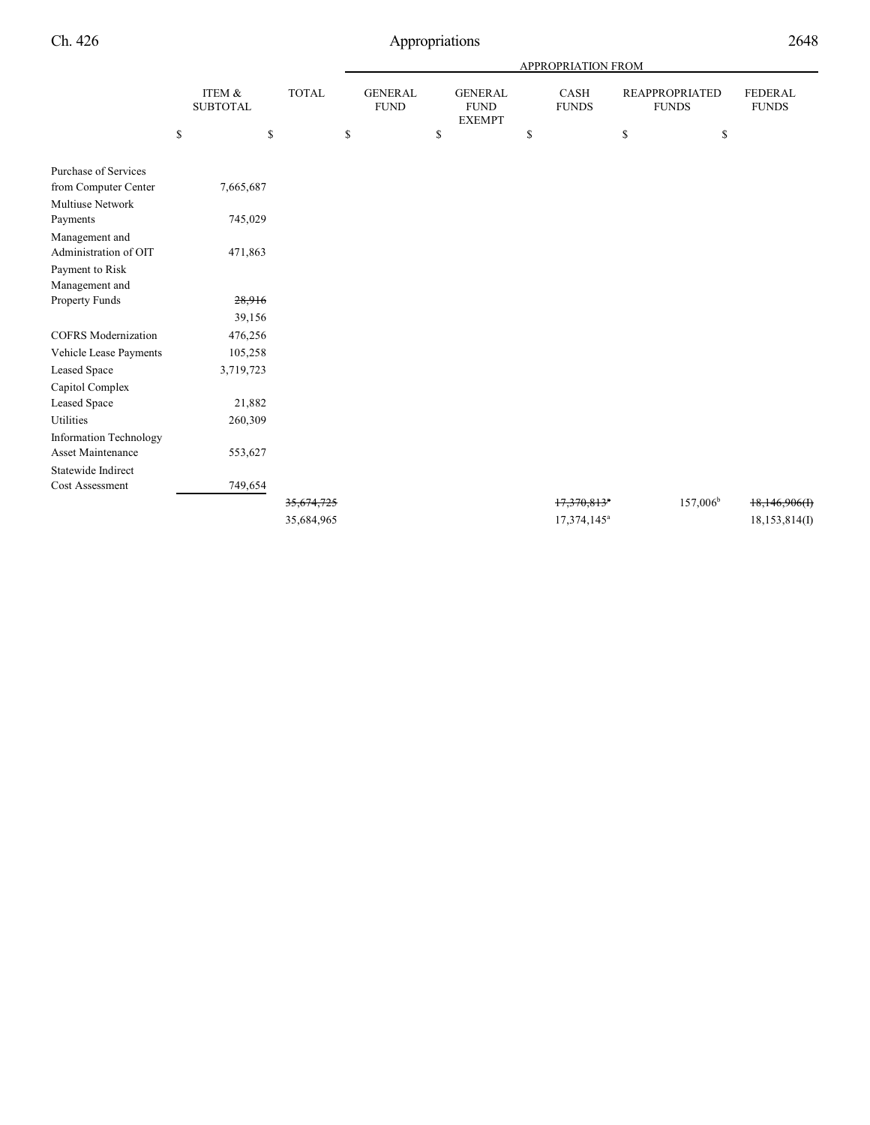|                            |             |                           |              |                               |                                                | APPROPRIATION FROM        |                                       |                                |
|----------------------------|-------------|---------------------------|--------------|-------------------------------|------------------------------------------------|---------------------------|---------------------------------------|--------------------------------|
|                            |             | ITEM &<br><b>SUBTOTAL</b> | <b>TOTAL</b> | <b>GENERAL</b><br><b>FUND</b> | <b>GENERAL</b><br><b>FUND</b><br><b>EXEMPT</b> | CASH<br><b>FUNDS</b>      | <b>REAPPROPRIATED</b><br><b>FUNDS</b> | <b>FEDERAL</b><br><b>FUNDS</b> |
|                            | $\mathbb S$ | \$                        |              | \$                            | \$                                             | \$                        | \$<br>\$                              |                                |
| Purchase of Services       |             |                           |              |                               |                                                |                           |                                       |                                |
| from Computer Center       |             | 7,665,687                 |              |                               |                                                |                           |                                       |                                |
| <b>Multiuse Network</b>    |             |                           |              |                               |                                                |                           |                                       |                                |
| Payments                   |             | 745,029                   |              |                               |                                                |                           |                                       |                                |
| Management and             |             |                           |              |                               |                                                |                           |                                       |                                |
| Administration of OIT      |             | 471,863                   |              |                               |                                                |                           |                                       |                                |
| Payment to Risk            |             |                           |              |                               |                                                |                           |                                       |                                |
| Management and             |             |                           |              |                               |                                                |                           |                                       |                                |
| Property Funds             |             | 28,916                    |              |                               |                                                |                           |                                       |                                |
|                            |             | 39,156                    |              |                               |                                                |                           |                                       |                                |
| <b>COFRS</b> Modernization |             | 476,256                   |              |                               |                                                |                           |                                       |                                |
| Vehicle Lease Payments     |             | 105,258                   |              |                               |                                                |                           |                                       |                                |
| Leased Space               |             | 3,719,723                 |              |                               |                                                |                           |                                       |                                |
| Capitol Complex            |             |                           |              |                               |                                                |                           |                                       |                                |
| Leased Space               |             | 21,882                    |              |                               |                                                |                           |                                       |                                |
| Utilities                  |             | 260,309                   |              |                               |                                                |                           |                                       |                                |
| Information Technology     |             |                           |              |                               |                                                |                           |                                       |                                |
| Asset Maintenance          |             | 553,627                   |              |                               |                                                |                           |                                       |                                |
| Statewide Indirect         |             |                           |              |                               |                                                |                           |                                       |                                |
| Cost Assessment            |             | 749,654                   |              |                               |                                                |                           |                                       |                                |
|                            |             |                           | 35,674,725   |                               |                                                | $17,370,813$ <sup>a</sup> | $157,006^{\rm b}$                     | 18,146,906(f)                  |
|                            |             |                           | 35,684,965   |                               |                                                | 17,374,145 <sup>a</sup>   |                                       | 18, 153, 814(I)                |
|                            |             |                           |              |                               |                                                |                           |                                       |                                |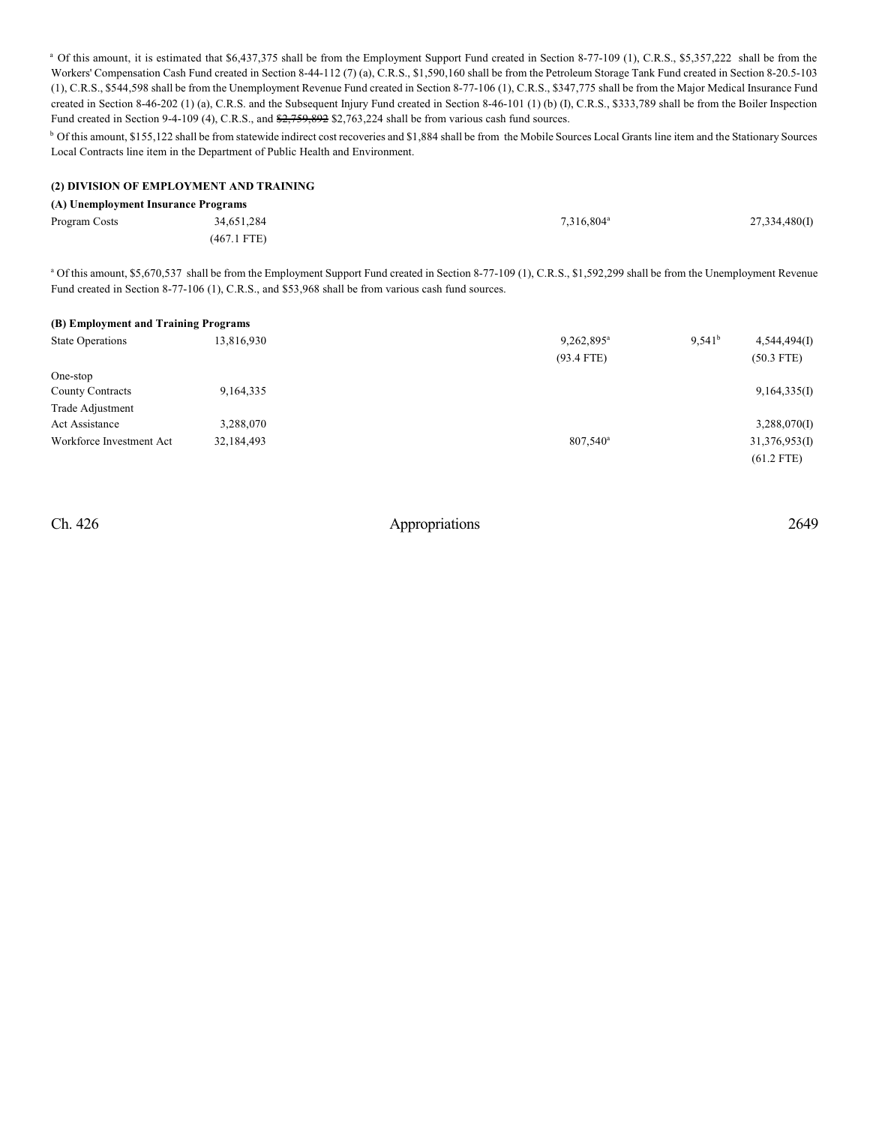<sup>a</sup> Of this amount, it is estimated that \$6,437,375 shall be from the Employment Support Fund created in Section 8-77-109 (1), C.R.S., \$5,357,222 shall be from the Workers' Compensation Cash Fund created in Section 8-44-112 (7) (a), C.R.S., \$1,590,160 shall be from the Petroleum Storage Tank Fund created in Section 8-20.5-103 (1), C.R.S., \$544,598 shall be from the Unemployment Revenue Fund created in Section 8-77-106 (1), C.R.S., \$347,775 shall be from the Major Medical Insurance Fund created in Section 8-46-202 (1) (a), C.R.S. and the Subsequent Injury Fund created in Section 8-46-101 (1) (b) (I), C.R.S., \$333,789 shall be from the Boiler Inspection Fund created in Section 9-4-109 (4), C.R.S., and  $\frac{27.759,892}{27.763,224}$  shall be from various cash fund sources.

<sup>b</sup> Of this amount, \$155,122 shall be from statewide indirect cost recoveries and \$1,884 shall be from the Mobile Sources Local Grants line item and the Stationary Sources Local Contracts line item in the Department of Public Health and Environment.

#### **(2) DIVISION OF EMPLOYMENT AND TRAINING**

| (A) Unemployment Insurance Programs |               |                        |               |  |  |  |
|-------------------------------------|---------------|------------------------|---------------|--|--|--|
| Program Costs                       | 34,651,284    | 7.316.804 <sup>a</sup> | 27,334,480(I) |  |  |  |
|                                     | $(467.1$ FTE) |                        |               |  |  |  |

<sup>a</sup> Of this amount, \$5,670,537 shall be from the Employment Support Fund created in Section 8-77-109 (1), C.R.S., \$1,592,299 shall be from the Unemployment Revenue Fund created in Section 8-77-106 (1), C.R.S., and \$53,968 shall be from various cash fund sources.

#### **(B) Employment and Training Programs**

| <b>State Operations</b>  | 13,816,930 | 9,262,895 <sup>a</sup> | $9,541^b$ | 4,544,494(I)  |
|--------------------------|------------|------------------------|-----------|---------------|
|                          |            | $(93.4$ FTE)           |           | $(50.3$ FTE)  |
| One-stop                 |            |                        |           |               |
| <b>County Contracts</b>  | 9,164,335  |                        |           | 9,164,335(I)  |
| Trade Adjustment         |            |                        |           |               |
| Act Assistance           | 3,288,070  |                        |           | 3,288,070(I)  |
| Workforce Investment Act | 32,184,493 | 807.540 <sup>a</sup>   |           | 31,376,953(I) |
|                          |            |                        |           | $(61.2$ FTE)  |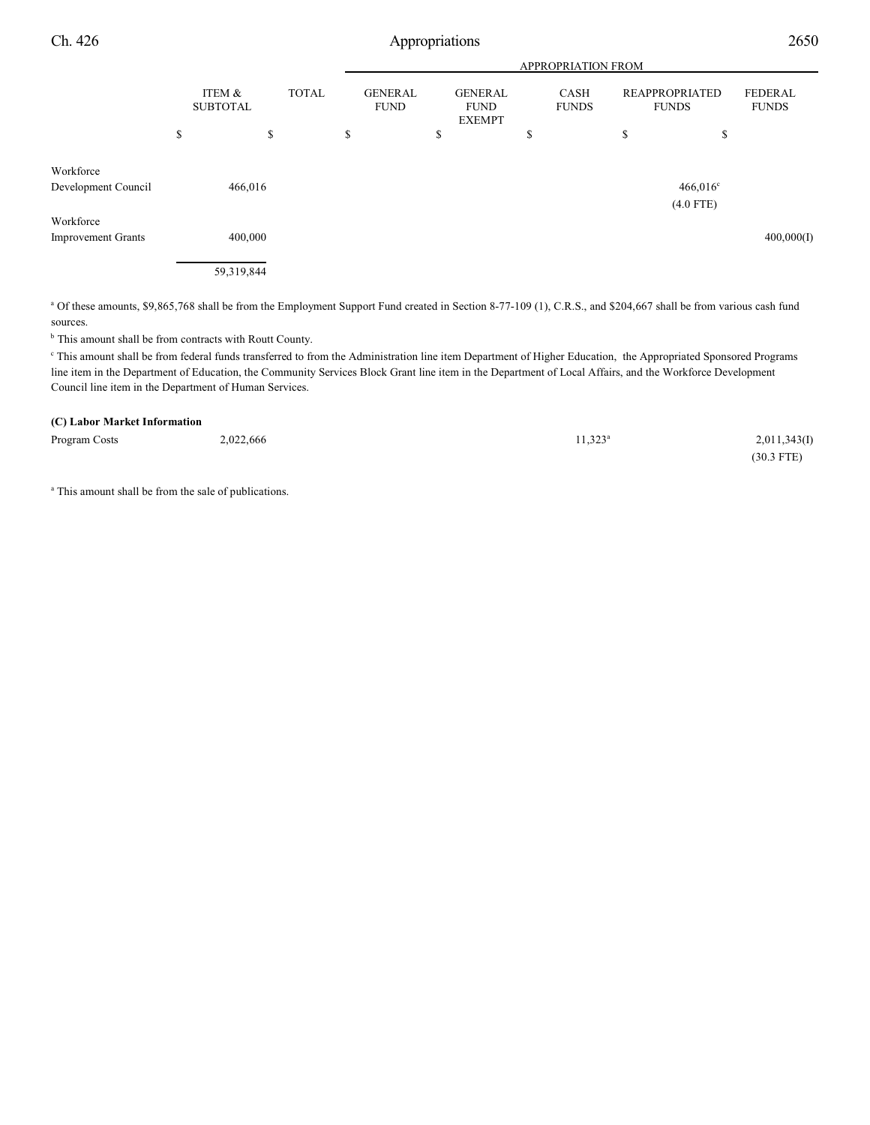Ch. 426 Appropriations 2650

|                           |                           | APPROPRIATION FROM |    |                               |    |                                                |    |                             |    |                                       |                                |
|---------------------------|---------------------------|--------------------|----|-------------------------------|----|------------------------------------------------|----|-----------------------------|----|---------------------------------------|--------------------------------|
|                           | ITEM &<br><b>SUBTOTAL</b> | <b>TOTAL</b>       |    | <b>GENERAL</b><br><b>FUND</b> |    | <b>GENERAL</b><br><b>FUND</b><br><b>EXEMPT</b> |    | <b>CASH</b><br><b>FUNDS</b> |    | <b>REAPPROPRIATED</b><br><b>FUNDS</b> | <b>FEDERAL</b><br><b>FUNDS</b> |
|                           | \$                        | \$                 | \$ |                               | \$ |                                                | \$ |                             | \$ | ¢<br>Φ                                |                                |
| Workforce                 |                           |                    |    |                               |    |                                                |    |                             |    |                                       |                                |
| Development Council       | 466,016                   |                    |    |                               |    |                                                |    |                             |    | $466,016^{\circ}$<br>$(4.0$ FTE)      |                                |
| Workforce                 |                           |                    |    |                               |    |                                                |    |                             |    |                                       |                                |
| <b>Improvement Grants</b> | 400,000                   |                    |    |                               |    |                                                |    |                             |    |                                       | 400,000(I)                     |
|                           | 59,319,844                |                    |    |                               |    |                                                |    |                             |    |                                       |                                |

<sup>a</sup> Of these amounts, \$9,865,768 shall be from the Employment Support Fund created in Section 8-77-109 (1), C.R.S., and \$204,667 shall be from various cash fund sources.

<sup>b</sup> This amount shall be from contracts with Routt County.

 This amount shall be from federal funds transferred to from the Administration line item Department of Higher Education, the Appropriated Sponsored Programs <sup>c</sup> line item in the Department of Education, the Community Services Block Grant line item in the Department of Local Affairs, and the Workforce Development Council line item in the Department of Human Services.

#### **(C) Labor Market Information**

| Program Costs | 2,022,666 | $1.323^a$ | 2,011,343(I) |
|---------------|-----------|-----------|--------------|
|               |           |           | $(30.3$ FTE) |

<sup>a</sup> This amount shall be from the sale of publications.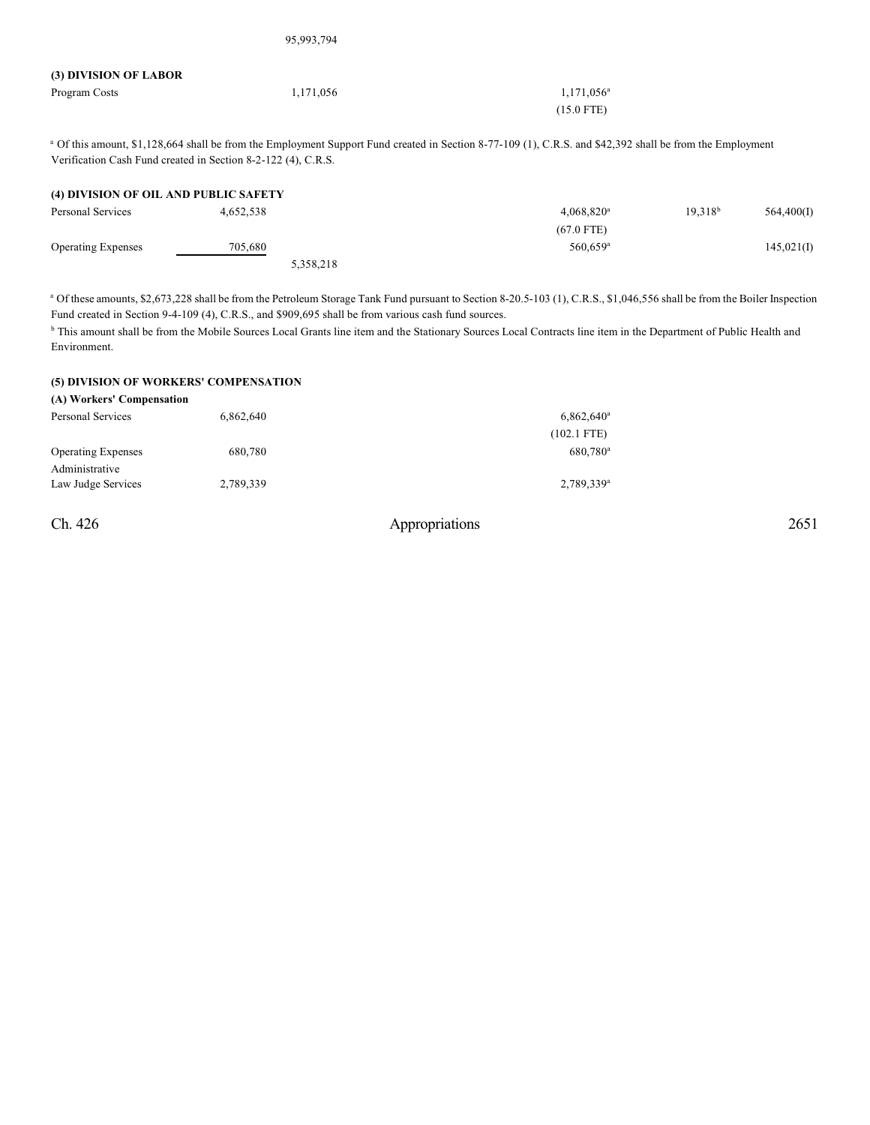| (3) DIVISION OF LABOR |           |                     |
|-----------------------|-----------|---------------------|
| Program Costs         | 1,171,056 | $1,171,056^{\circ}$ |
|                       |           | $(15.0$ FTE)        |

95,993,794

<sup>a</sup> Of this amount, \$1,128,664 shall be from the Employment Support Fund created in Section 8-77-109 (1), C.R.S. and \$42,392 shall be from the Employment Verification Cash Fund created in Section 8-2-122 (4), C.R.S.

#### **(4) DIVISION OF OIL AND PUBLIC SAFETY**

| Personal Services         | 4.652.538 |           | 4.068.820 <sup>a</sup> | $19.318^{b}$ | 564,400(I) |
|---------------------------|-----------|-----------|------------------------|--------------|------------|
|                           |           |           | $(67.0$ FTE)           |              |            |
| <b>Operating Expenses</b> | 705,680   |           | $560,659$ <sup>a</sup> |              | 145,021(I) |
|                           |           | 5,358,218 |                        |              |            |

<sup>a</sup> Of these amounts, \$2,673,228 shall be from the Petroleum Storage Tank Fund pursuant to Section 8-20.5-103 (1), C.R.S., \$1,046,556 shall be from the Boiler Inspection Fund created in Section 9-4-109 (4), C.R.S., and \$909,695 shall be from various cash fund sources.

<sup>b</sup> This amount shall be from the Mobile Sources Local Grants line item and the Stationary Sources Local Contracts line item in the Department of Public Health and Environment.

### **(5) DIVISION OF WORKERS' COMPENSATION**

| (A) Workers' Compensation |           |                        |
|---------------------------|-----------|------------------------|
| Personal Services         | 6,862,640 | $6,862,640^{\circ}$    |
|                           |           | $(102.1$ FTE)          |
| <b>Operating Expenses</b> | 680,780   | 680.780 <sup>a</sup>   |
| Administrative            |           |                        |
| Law Judge Services        | 2,789,339 | 2,789,339 <sup>a</sup> |
|                           |           |                        |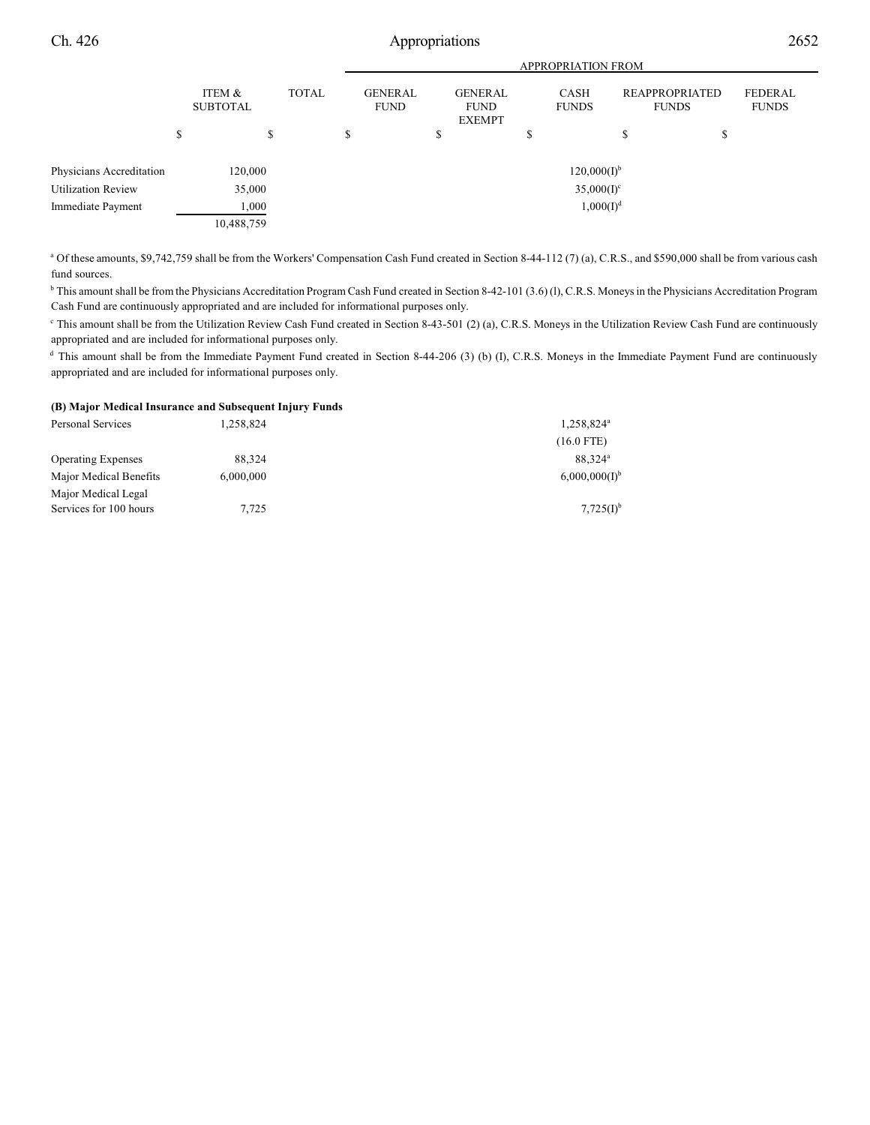|                           |   | <b>APPROPRIATION FROM</b> |         |              |   |                               |                                                |    |                       |  |                                |                                |
|---------------------------|---|---------------------------|---------|--------------|---|-------------------------------|------------------------------------------------|----|-----------------------|--|--------------------------------|--------------------------------|
|                           |   | ITEM &<br><b>SUBTOTAL</b> |         | <b>TOTAL</b> |   | <b>GENERAL</b><br><b>FUND</b> | <b>GENERAL</b><br><b>FUND</b><br><b>EXEMPT</b> |    | CASH<br><b>FUNDS</b>  |  | REAPPROPRIATED<br><b>FUNDS</b> | <b>FEDERAL</b><br><b>FUNDS</b> |
|                           | S |                           | ¢<br>J. |              | S |                               | \$                                             | J. |                       |  | D                              |                                |
| Physicians Accreditation  |   | 120,000                   |         |              |   |                               |                                                |    | $120,000(I)^{b}$      |  |                                |                                |
| <b>Utilization Review</b> |   | 35,000                    |         |              |   |                               |                                                |    | $35,000(I)^c$         |  |                                |                                |
| Immediate Payment         |   | 1,000                     |         |              |   |                               |                                                |    | 1,000(I) <sup>d</sup> |  |                                |                                |
|                           |   | 10,488,759                |         |              |   |                               |                                                |    |                       |  |                                |                                |

<sup>a</sup> Of these amounts, \$9,742,759 shall be from the Workers' Compensation Cash Fund created in Section 8-44-112 (7) (a), C.R.S., and \$590,000 shall be from various cash fund sources.

<sup>b</sup> This amount shall be from the Physicians Accreditation Program Cash Fund created in Section 8-42-101 (3.6) (l), C.R.S. Moneys in the Physicians Accreditation Program Cash Fund are continuously appropriated and are included for informational purposes only.

<sup>e</sup> This amount shall be from the Utilization Review Cash Fund created in Section 8-43-501 (2) (a), C.R.S. Moneys in the Utilization Review Cash Fund are continuously appropriated and are included for informational purposes only.

<sup>d</sup> This amount shall be from the Immediate Payment Fund created in Section 8-44-206 (3) (b) (I), C.R.S. Moneys in the Immediate Payment Fund are continuously appropriated and are included for informational purposes only.

#### **(B) Major Medical Insurance and Subsequent Injury Funds**

| Personal Services                             | 1,258,824 | 1,258,824 <sup>a</sup> |
|-----------------------------------------------|-----------|------------------------|
|                                               |           | $(16.0$ FTE)           |
| <b>Operating Expenses</b>                     | 88.324    | 88.324 <sup>a</sup>    |
| Major Medical Benefits                        | 6,000,000 | $6,000,000(I)^{b}$     |
| Major Medical Legal<br>Services for 100 hours | 7,725     | $7,725(I)^{b}$         |
|                                               |           |                        |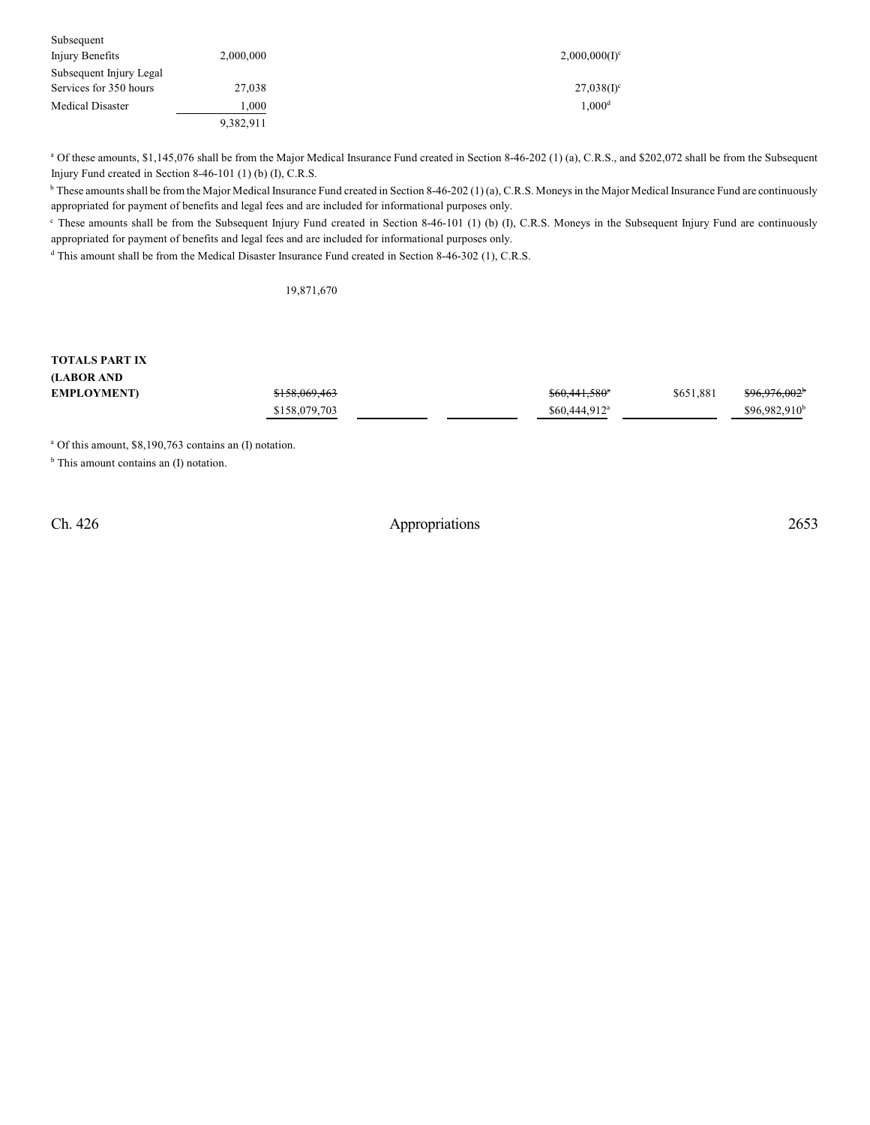| Subsequent              |           |                          |
|-------------------------|-----------|--------------------------|
| Injury Benefits         | 2,000,000 | $2,000,000(I)^c$         |
| Subsequent Injury Legal |           |                          |
| Services for 350 hours  | 27,038    | $27,038(1)$ <sup>c</sup> |
| <b>Medical Disaster</b> | .000      | 1,000 <sup>d</sup>       |
|                         | 9,382,911 |                          |

<sup>a</sup> Of these amounts, \$1,145,076 shall be from the Major Medical Insurance Fund created in Section 8-46-202 (1) (a), C.R.S., and \$202,072 shall be from the Subsequent Injury Fund created in Section 8-46-101 (1) (b) (I), C.R.S.

<sup>b</sup> These amounts shall be from the Major Medical Insurance Fund created in Section 8-46-202 (1)(a), C.R.S. Moneys in the Major Medical Insurance Fund are continuously appropriated for payment of benefits and legal fees and are included for informational purposes only.

<sup>c</sup> These amounts shall be from the Subsequent Injury Fund created in Section 8-46-101 (1) (b) (I), C.R.S. Moneys in the Subsequent Injury Fund are continuously appropriated for payment of benefits and legal fees and are included for informational purposes only.

<sup>d</sup> This amount shall be from the Medical Disaster Insurance Fund created in Section 8-46-302 (1), C.R.S.

19,871,670

#### **TOTALS PART IX (LABOR AND EMPLOYMENT)** \$158,069,463 \$60,441,580 \$60,441,580 \$60,481,581 \$96,976,002<sup>b</sup> \$158,079,703 \$60,444,912 \$96,982,910<sup>b</sup>

<sup>a</sup> Of this amount, \$8,190,763 contains an (I) notation.

<sup>b</sup> This amount contains an (I) notation.